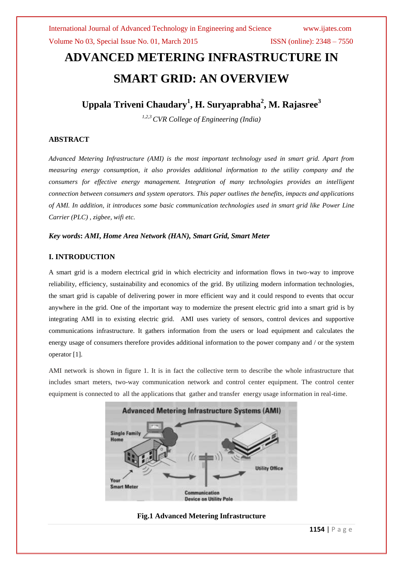# **ADVANCED METERING INFRASTRUCTURE IN SMART GRID: AN OVERVIEW**

**Uppala Triveni Chaudary<sup>1</sup> , H. Suryaprabha<sup>2</sup> , M. Rajasree<sup>3</sup>**

*1,2,3 CVR College of Engineering (India)*

### **ABSTRACT**

*Advanced Metering Infrastructure (AMI) is the most important technology used in smart grid. Apart from measuring energy consumption, it also provides additional information to the utility company and the consumers for effective energy management. Integration of many technologies provides an intelligent connection between consumers and system operators. This paper outlines the benefits, impacts and applications of AMI. In addition, it introduces some basic communication technologies used in smart grid like Power Line Carrier (PLC) , zigbee, wifi etc.*

#### *Key words***:** *AMI***,** *Home Area Network (HAN), Smart Grid, Smart Meter*

#### **I. INTRODUCTION**

A smart grid is a modern electrical grid in which electricity and information flows in two-way to improve reliability, efficiency, sustainability and economics of the grid. By utilizing modern information technologies, the smart grid is capable of delivering power in more efficient way and it could respond to events that occur anywhere in the grid. One of the important way to modernize the present electric grid into a smart grid is by integrating AMI in to existing electric grid. AMI uses variety of sensors, control devices and supportive communications infrastructure. It gathers information from the users or load equipment and calculates the energy usage of consumers therefore provides additional information to the power company and / or the system operator [1].

AMI network is shown in figure 1. It is in fact the collective term to describe the whole infrastructure that includes smart meters, two-way communication network and control center equipment. The control center equipment is connected to all the applications that gather and transfer energy usage information in real-time.



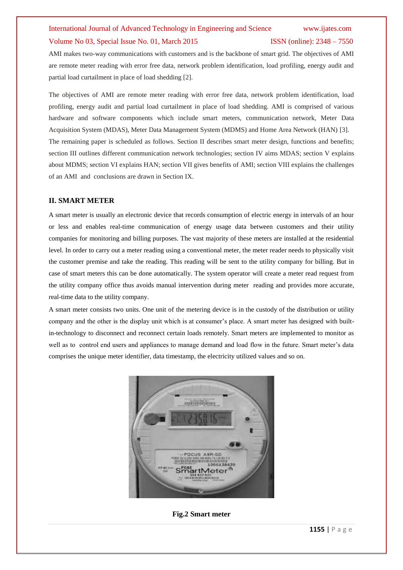AMI makes two-way communications with customers and is the backbone of smart grid. The objectives of AMI are remote meter reading with error free data, network problem identification, load profiling, energy audit and partial load curtailment in place of load shedding [2].

The objectives of AMI are remote meter reading with error free data, network problem identification, load profiling, energy audit and partial load curtailment in place of load shedding. AMI is comprised of various hardware and software components which include smart meters, communication network, Meter Data Acquisition System (MDAS), Meter Data Management System (MDMS) and Home Area Network (HAN) [3]. The remaining paper is scheduled as follows. Section II describes smart meter design, functions and benefits; section III outlines different communication network technologies; section IV aims MDAS; section V explains about MDMS; section VI explains HAN; section VII gives benefits of AMI; section VIII explains the challenges of an AMI and conclusions are drawn in Section IX.

### **II. SMART METER**

A smart meter is usually an electronic device that records consumption of electric energy in intervals of an hour or less and enables real-time communication of energy usage data between customers and their utility companies for monitoring and billing purposes. The vast majority of these meters are installed at the residential level. In order to carry out a meter reading using a conventional meter, the meter reader needs to physically visit the customer premise and take the reading. This reading will be sent to the utility company for billing. But in case of smart meters this can be done automatically. The system operator will create a meter read request from the utility company office thus avoids manual intervention during meter reading and provides more accurate, real-time data to the utility company.

A smart meter consists two units. One unit of the metering device is in the custody of the distribution or utility company and the other is the display unit which is at consumer's place. A smart meter has designed with builtin-technology to disconnect and reconnect certain loads remotely. Smart meters are implemented to monitor as well as to control end users and appliances to manage demand and load flow in the future. Smart meter's data comprises the unique meter identifier, data timestamp, the electricity utilized values and so on.



**Fig.2 Smart meter**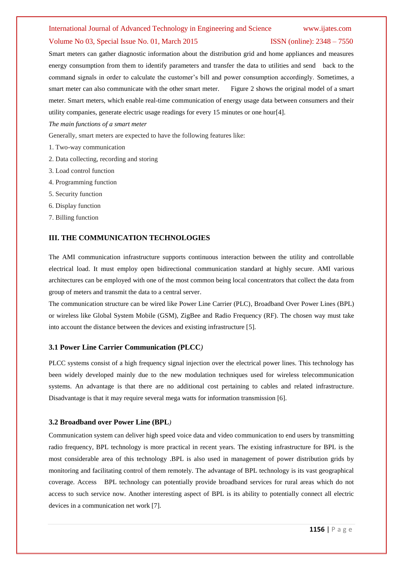#### International Journal of Advanced Technology in Engineering and Science www.ijates.com

#### Volume No 03, Special Issue No. 01, March 2015 ISSN (online): 2348 – 7550

Smart meters can gather diagnostic information about the distribution grid and home appliances and measures energy consumption from them to identify parameters and transfer the data to utilities and send back to the command signals in order to calculate the customer's bill and power consumption accordingly. Sometimes, a smart meter can also communicate with the other smart meter. Figure 2 shows the original model of a smart meter. Smart meters, which enable real-time communication of energy usage data between consumers and their utility companies, generate electric usage readings for every 15 minutes or one hour[4].

*The main functions of a smart meter*

Generally, smart meters are expected to have the following features like:

- 1. Two-way communication
- 2. Data collecting, recording and storing
- 3. Load control function
- 4. Programming function
- 5. Security function
- 6. Display function
- 7. Billing function

#### **III. THE COMMUNICATION TECHNOLOGIES**

The AMI communication infrastructure supports continuous interaction between the utility and controllable electrical load. It must employ open bidirectional communication standard at highly secure. AMI various architectures can be employed with one of the most common being local concentrators that collect the data from group of meters and transmit the data to a central server.

The communication structure can be wired like Power Line Carrier (PLC), Broadband Over Power Lines (BPL) or wireless like Global System Mobile (GSM), ZigBee and Radio Frequency (RF). The chosen way must take into account the distance between the devices and existing infrastructure [5].

#### **3.1 Power Line Carrier Communication (PLCC***)*

PLCC systems consist of a high frequency signal injection over the electrical power lines. This technology has been widely developed mainly due to the new modulation techniques used for wireless telecommunication systems. An advantage is that there are no additional cost pertaining to cables and related infrastructure. Disadvantage is that it may require several mega watts for information transmission [6].

#### **3.2 Broadband over Power Line (BPL***)*

Communication system can deliver high speed voice data and video communication to end users by transmitting radio frequency, BPL technology is more practical in recent years. The existing infrastructure for BPL is the most considerable area of this technology .BPL is also used in management of power distribution grids by monitoring and facilitating control of them remotely. The advantage of BPL technology is its vast geographical coverage. Access BPL technology can potentially provide broadband services for rural areas which do not access to such service now. Another interesting aspect of BPL is its ability to potentially connect all electric devices in a communication net work [7].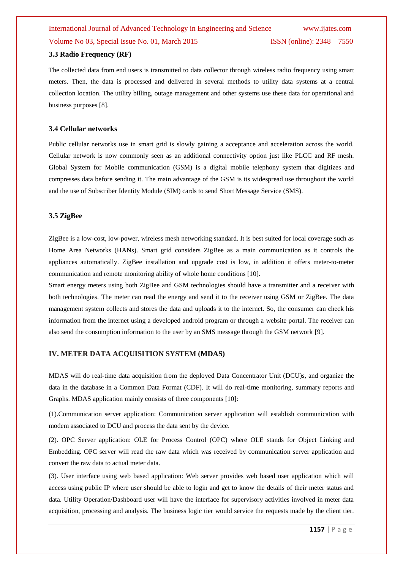#### **3.3 Radio Frequency (RF)**

The collected data from end users is transmitted to data collector through wireless radio frequency using smart meters. Then, the data is processed and delivered in several methods to utility data systems at a central collection location. The utility billing, outage management and other systems use these data for operational and business purposes [8].

#### **3.4 Cellular networks**

Public cellular networks use in smart grid is slowly gaining a acceptance and acceleration across the world. Cellular network is now commonly seen as an additional connectivity option just like PLCC and RF mesh. Global System for Mobile communication (GSM) is a digital mobile telephony system that digitizes and compresses data before sending it. The main advantage of the GSM is its widespread use throughout the world and the use of Subscriber Identity Module (SIM) cards to send Short Message Service (SMS).

#### **3.5 ZigBee**

ZigBee is a low-cost, low-power, wireless mesh networking standard. It is best suited for local coverage such as Home Area Networks (HANs). Smart grid considers ZigBee as a main communication as it controls the appliances automatically. ZigBee installation and upgrade cost is low, in addition it offers meter-to-meter communication and remote monitoring ability of whole home conditions [10].

Smart energy meters using both ZigBee and GSM technologies should have a transmitter and a receiver with both technologies. The meter can read the energy and send it to the receiver using GSM or ZigBee. The data management system collects and stores the data and uploads it to the internet. So, the consumer can check his information from the internet using a developed android program or through a website portal. The receiver can also send the consumption information to the user by an SMS message through the GSM network [9].

### **IV. METER DATA ACQUISITION SYSTEM (MDAS)**

MDAS will do real-time data acquisition from the deployed Data Concentrator Unit (DCU)s, and organize the data in the database in a Common Data Format (CDF). It will do real-time monitoring, summary reports and Graphs. MDAS application mainly consists of three components [10]:

(1).Communication server application: Communication server application will establish communication with modem associated to DCU and process the data sent by the device.

(2). OPC Server application: OLE for Process Control (OPC) where OLE stands for Object Linking and Embedding. OPC server will read the raw data which was received by communication server application and convert the raw data to actual meter data.

(3). User interface using web based application: Web server provides web based user application which will access using public IP where user should be able to login and get to know the details of their meter status and data. Utility Operation/Dashboard user will have the interface for supervisory activities involved in meter data acquisition, processing and analysis. The business logic tier would service the requests made by the client tier.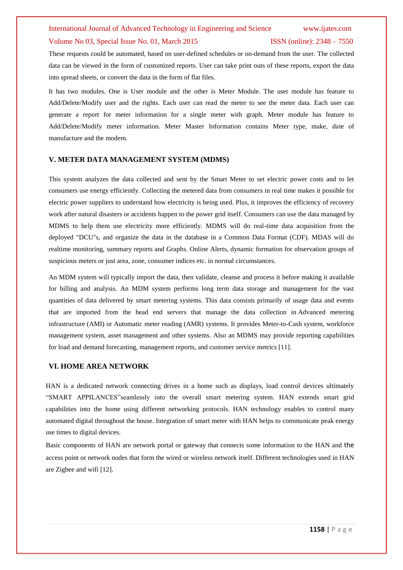## International Journal of Advanced Technology in Engineering and Science www.ijates.com

#### Volume No 03, Special Issue No. 01, March 2015 ISSN (online): 2348 – 7550

These requests could be automated, based on user-defined schedules or on-demand from the user. The collected data can be viewed in the form of customized reports. User can take print outs of these reports, export the data into spread sheets, or convert the data in the form of flat files.

It has two modules. One is User module and the other is Meter Module. The user module has feature to Add/Delete/Modify user and the rights. Each user can read the meter to see the meter data. Each user can generate a report for meter information for a single meter with graph. Meter module has feature to Add/Delete/Modify meter information. Meter Master Information contains Meter type, make, date of manufacture and the modem.

### **V. METER DATA MANAGEMENT SYSTEM (MDMS)**

This system analyzes the data collected and sent by the Smart Meter to set electric power costs and to let consumers use energy efficiently. Collecting the metered data from consumers in real time makes it possible for electric power suppliers to understand how electricity is being used. Plus, it improves the efficiency of recovery work after natural disasters or accidents happen to the power grid itself. Consumers can use the data managed by MDMS to help them use electricity more efficiently. MDMS will do real-time data acquisition from the deployed "DCU"s, and organize the data in the database in a Common Data Format (CDF). MDAS will do realtime monitoring, summary reports and Graphs. Online Alerts, dynamic formation for observation groups of suspicious meters or just area, zone, consumer indices etc. in normal circumstances.

An MDM system will typically import the data, then validate, cleanse and process it before making it available for billing and analysis. An MDM system performs long term data storage and management for the vast quantities of data delivered by smart metering systems. This data consists primarily of usage data and events that are imported from the head end servers that manage the data collection in Advanced metering infrastructure (AMI) or Automatic meter reading (AMR) systems. It provides Meter-to-Cash system, workforce management system, asset management and other systems. Also an MDMS may provide reporting capabilities for load and demand forecasting, management reports, and customer service metrics [11].

### **VI. HOME AREA NETWORK**

HAN is a dedicated network connecting drives in a home such as displays, load control devices ultimately "SMART APPILANCES"seamlessly into the overall smart metering system. HAN extends smart grid capabilities into the home using different networking protocols. HAN technology enables to control many automated digital throughout the house. Integration of smart meter with HAN helps to communicate peak energy use times to digital devices.

Basic components of HAN are network portal or gateway that connects some information to the HAN and the access point or network nodes that form the wired or wireless network itself. Different technologies used in HAN are Zigbee and wifi [12].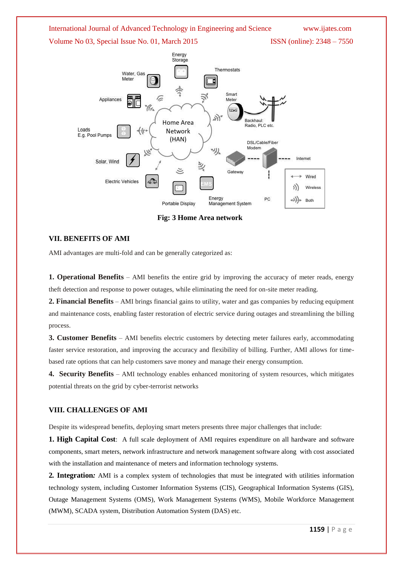

**Fig: 3 Home Area network**

#### **VII. BENEFITS OF AMI**

AMI advantages are multi-fold and can be generally categorized as:

**1. Operational Benefits** – AMI benefits the entire grid by improving the accuracy of meter reads, energy theft detection and response to power outages, while eliminating the need for on-site meter reading.

**2. Financial Benefits** – AMI brings financial gains to utility, water and gas companies by reducing equipment and maintenance costs, enabling faster restoration of electric service during outages and streamlining the billing process.

**3. Customer Benefits** – AMI benefits electric customers by detecting meter failures early, accommodating faster service restoration, and improving the accuracy and flexibility of billing. Further, AMI allows for timebased rate options that can help customers save money and manage their energy consumption.

**4. Security Benefits** – AMI technology enables enhanced monitoring of system resources, which mitigates potential threats on the grid by cyber-terrorist networks

#### **VIII. CHALLENGES OF AMI**

Despite its widespread benefits, deploying smart meters presents three major challenges that include:

**1. High Capital Cost**: A full scale deployment of AMI requires expenditure on all hardware and software components, smart meters, network infrastructure and network management software along with cost associated with the installation and maintenance of meters and information technology systems.

**2***.* **Integration***:* AMI is a complex system of technologies that must be integrated with utilities information technology system, including Customer Information Systems (CIS), Geographical Information Systems (GIS), Outage Management Systems (OMS), Work Management Systems (WMS), Mobile Workforce Management (MWM), SCADA system, Distribution Automation System (DAS) etc.